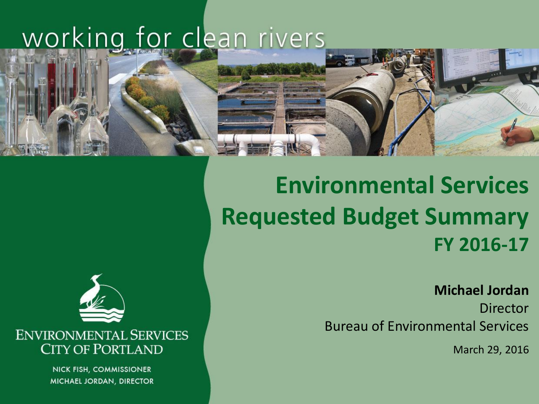## working for clean rivers



### **Environmental Services Requested Budget Summary FY 2016-17**

**Michael Jordan**

**Director** Bureau of Environmental Services

March 29, 2016



**ENVIRONMENTAL SERVICES CITY OF PORTLAND** 

> NICK FISH, COMMISSIONER MICHAEL JORDAN, DIRECTOR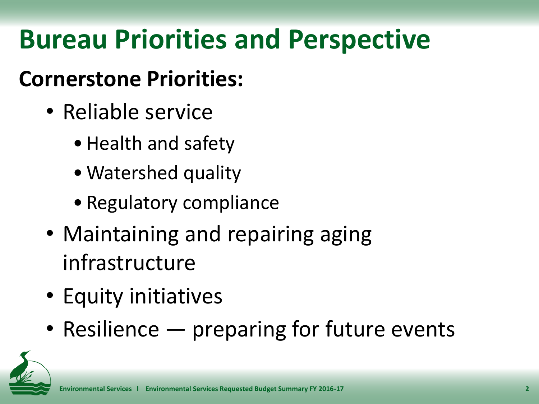# **Bureau Priorities and Perspective**

### **Cornerstone Priorities:**

- Reliable service
	- •Health and safety
	- Watershed quality
	- Regulatory compliance
- Maintaining and repairing aging infrastructure
- Equity initiatives
- Resilience preparing for future events

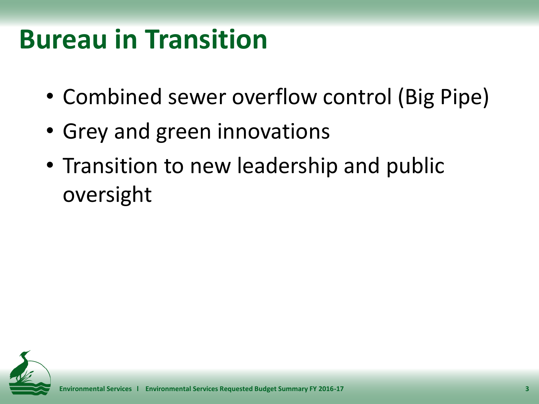# **Bureau in Transition**

- Combined sewer overflow control (Big Pipe)
- Grey and green innovations
- Transition to new leadership and public oversight

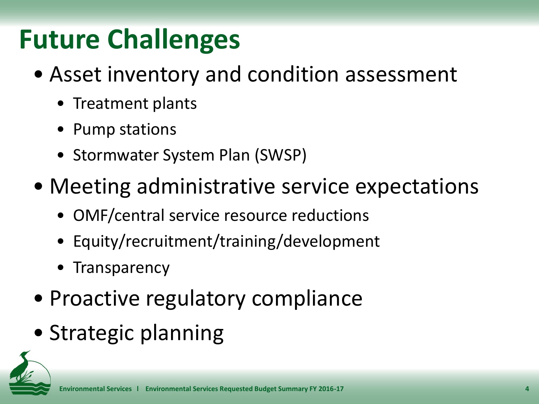# **Future Challenges**

- Asset inventory and condition assessment
	- Treatment plants
	- Pump stations
	- Stormwater System Plan (SWSP)
- Meeting administrative service expectations
	- OMF/central service resource reductions
	- Equity/recruitment/training/development
	- Transparency
- Proactive regulatory compliance
- Strategic planning

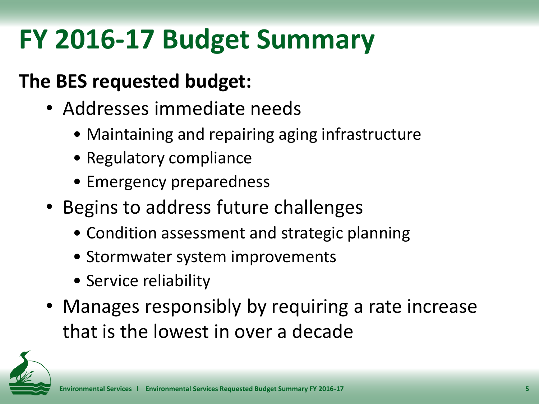# **FY 2016-17 Budget Summary**

#### **The BES requested budget:**

- Addresses immediate needs
	- Maintaining and repairing aging infrastructure
	- Regulatory compliance
	- Emergency preparedness
- Begins to address future challenges
	- Condition assessment and strategic planning
	- Stormwater system improvements
	- Service reliability
- Manages responsibly by requiring a rate increase that is the lowest in over a decade

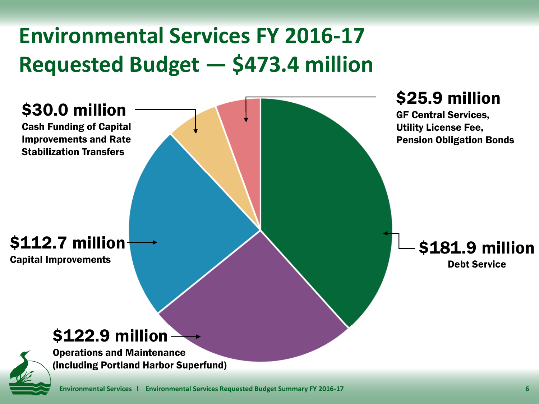### **Environmental Services FY 2016-17 Requested Budget — \$473.4 million**

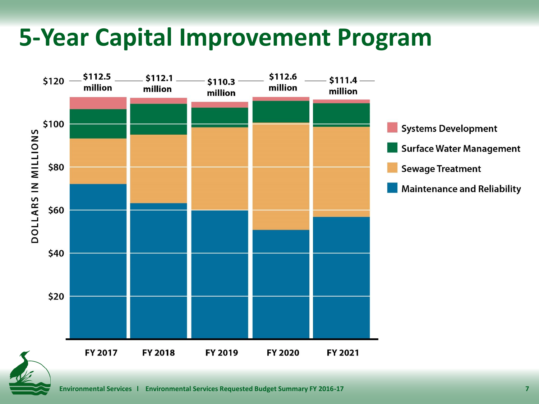### **5-Year Capital Improvement Program**

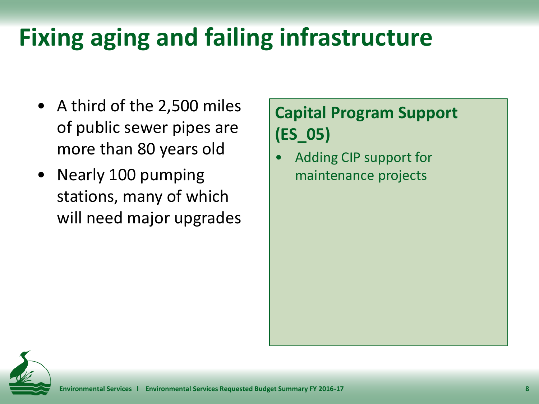## **Fixing aging and failing infrastructure**

- A third of the 2,500 miles of public sewer pipes are more than 80 years old
- Nearly 100 pumping stations, many of which will need major upgrades

#### **Capital Program Support (ES\_05)**

• Adding CIP support for maintenance projects

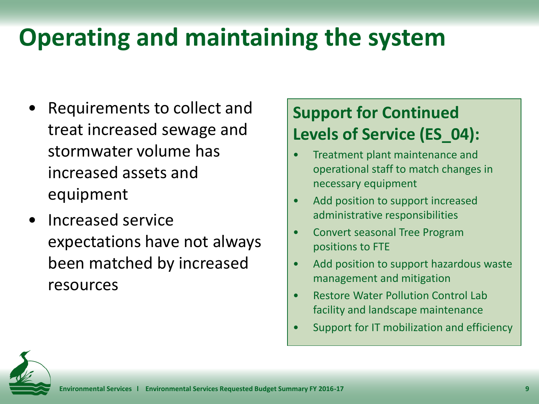## **Operating and maintaining the system**

- Requirements to collect and treat increased sewage and stormwater volume has increased assets and equipment
- Increased service expectations have not always been matched by increased resources

#### **Support for Continued Levels of Service (ES\_04):**

- Treatment plant maintenance and operational staff to match changes in necessary equipment
- Add position to support increased administrative responsibilities
- Convert seasonal Tree Program positions to FTE
- Add position to support hazardous waste management and mitigation
- Restore Water Pollution Control Lab facility and landscape maintenance
- Support for IT mobilization and efficiency

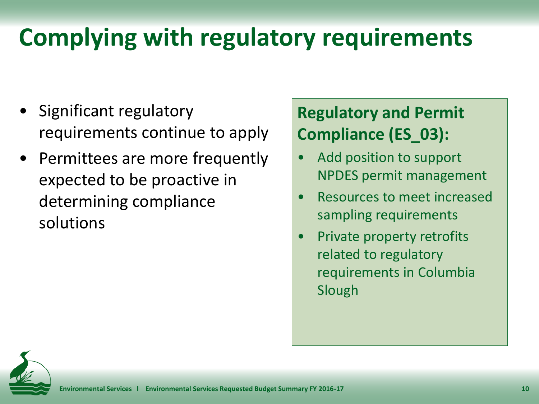## **Complying with regulatory requirements**

- Significant regulatory requirements continue to apply
- Permittees are more frequently expected to be proactive in determining compliance solutions

#### **Regulatory and Permit Compliance (ES\_03):**

- Add position to support NPDES permit management
- Resources to meet increased sampling requirements
- Private property retrofits related to regulatory requirements in Columbia Slough

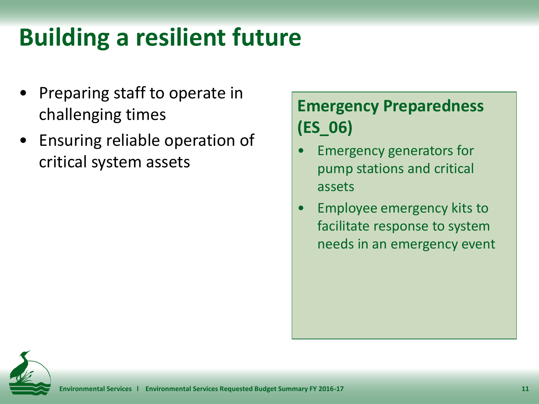## **Building a resilient future**

- Preparing staff to operate in challenging times
- Ensuring reliable operation of critical system assets

#### **Emergency Preparedness (ES\_06)**

- Emergency generators for pump stations and critical assets
- Employee emergency kits to facilitate response to system needs in an emergency event

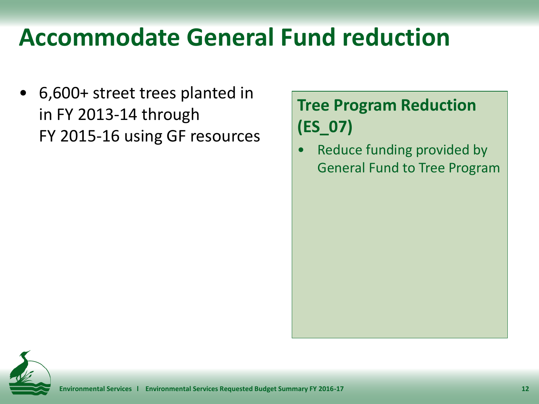### **Accommodate General Fund reduction**

• 6,600+ street trees planted in in FY 2013-14 through FY 2015-16 using GF resources

#### **Tree Program Reduction (ES\_07)**

• Reduce funding provided by General Fund to Tree Program

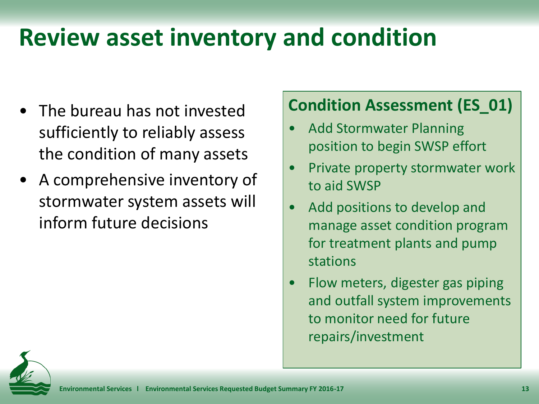## **Review asset inventory and condition**

- The bureau has not invested sufficiently to reliably assess the condition of many assets
- A comprehensive inventory of stormwater system assets will inform future decisions

#### **Condition Assessment (ES\_01)**

- Add Stormwater Planning position to begin SWSP effort
- Private property stormwater work to aid SWSP
- Add positions to develop and manage asset condition program for treatment plants and pump stations
- Flow meters, digester gas piping and outfall system improvements to monitor need for future repairs/investment

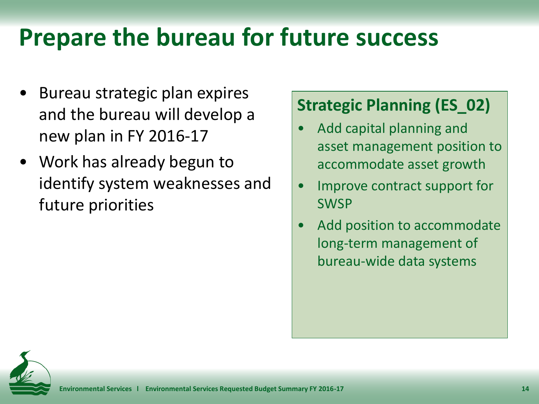## **Prepare the bureau for future success**

- Bureau strategic plan expires and the bureau will develop a new plan in FY 2016-17
- Work has already begun to identify system weaknesses and future priorities

#### **Strategic Planning (ES\_02)**

- Add capital planning and asset management position to accommodate asset growth
- Improve contract support for **SWSP**
- Add position to accommodate long-term management of bureau-wide data systems

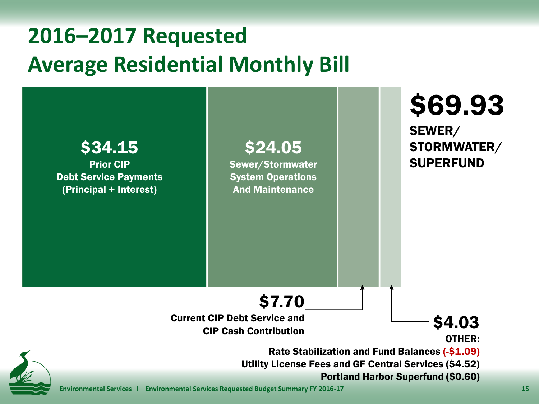### **2016–2017 Requested Average Residential Monthly Bill**